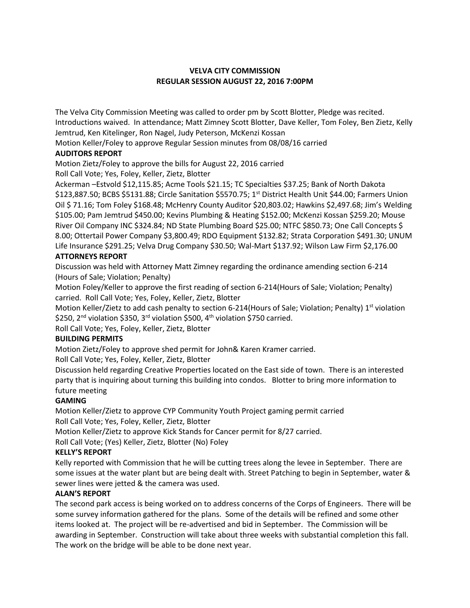## **VELVA CITY COMMISSION REGULAR SESSION AUGUST 22, 2016 7:00PM**

The Velva City Commission Meeting was called to order pm by Scott Blotter, Pledge was recited. Introductions waived. In attendance; Matt Zimney Scott Blotter, Dave Keller, Tom Foley, Ben Zietz, Kelly Jemtrud, Ken Kitelinger, Ron Nagel, Judy Peterson, McKenzi Kossan

Motion Keller/Foley to approve Regular Session minutes from 08/08/16 carried **AUDITORS REPORT**

Motion Zietz/Foley to approve the bills for August 22, 2016 carried Roll Call Vote; Yes, Foley, Keller, Zietz, Blotter

Ackerman –Estvold \$12,115.85; Acme Tools \$21.15; TC Specialties \$37.25; Bank of North Dakota \$123,887.50; BCBS \$5131.88; Circle Sanitation \$5570.75; 1<sup>st</sup> District Health Unit \$44.00; Farmers Union Oil \$ 71.16; Tom Foley \$168.48; McHenry County Auditor \$20,803.02; Hawkins \$2,497.68; Jim's Welding \$105.00; Pam Jemtrud \$450.00; Kevins Plumbing & Heating \$152.00; McKenzi Kossan \$259.20; Mouse River Oil Company INC \$324.84; ND State Plumbing Board \$25.00; NTFC \$850.73; One Call Concepts \$ 8.00; Ottertail Power Company \$3,800.49; RDO Equipment \$132.82; Strata Corporation \$491.30; UNUM Life Insurance \$291.25; Velva Drug Company \$30.50; Wal-Mart \$137.92; Wilson Law Firm \$2,176.00

# **ATTORNEYS REPORT**

Discussion was held with Attorney Matt Zimney regarding the ordinance amending section 6-214 (Hours of Sale; Violation; Penalty)

Motion Foley/Keller to approve the first reading of section 6-214(Hours of Sale; Violation; Penalty) carried. Roll Call Vote; Yes, Foley, Keller, Zietz, Blotter

Motion Keller/Zietz to add cash penalty to section 6-214(Hours of Sale; Violation; Penalty) 1<sup>st</sup> violation \$250, 2<sup>nd</sup> violation \$350, 3<sup>rd</sup> violation \$500, 4<sup>th</sup> violation \$750 carried.

Roll Call Vote; Yes, Foley, Keller, Zietz, Blotter

## **BUILDING PERMITS**

Motion Zietz/Foley to approve shed permit for John& Karen Kramer carried.

Roll Call Vote; Yes, Foley, Keller, Zietz, Blotter

Discussion held regarding Creative Properties located on the East side of town. There is an interested party that is inquiring about turning this building into condos. Blotter to bring more information to future meeting

## **GAMING**

Motion Keller/Zietz to approve CYP Community Youth Project gaming permit carried Roll Call Vote; Yes, Foley, Keller, Zietz, Blotter

Motion Keller/Zietz to approve Kick Stands for Cancer permit for 8/27 carried.

Roll Call Vote; (Yes) Keller, Zietz, Blotter (No) Foley

## **KELLY'S REPORT**

Kelly reported with Commission that he will be cutting trees along the levee in September. There are some issues at the water plant but are being dealt with. Street Patching to begin in September, water & sewer lines were jetted & the camera was used.

## **ALAN'S REPORT**

The second park access is being worked on to address concerns of the Corps of Engineers. There will be some survey information gathered for the plans. Some of the details will be refined and some other items looked at. The project will be re-advertised and bid in September. The Commission will be awarding in September. Construction will take about three weeks with substantial completion this fall. The work on the bridge will be able to be done next year.